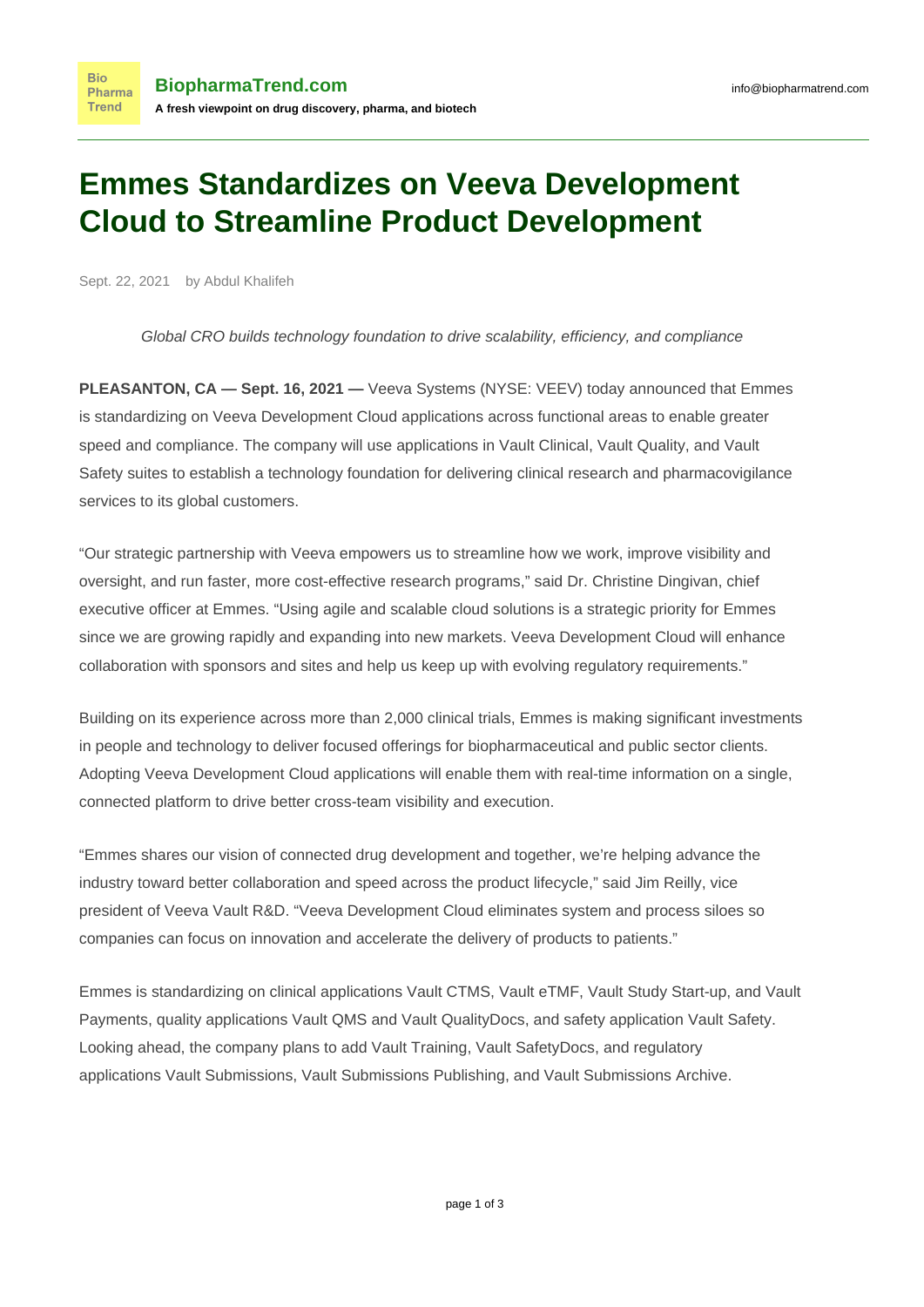# **Emmes Standardizes on Veeva Development Cloud to Streamline Product Development**

Sept. 22, 2021 by Abdul Khalifeh

**Bio** 

Global CRO builds technology foundation to drive scalability, efficiency, and compliance

**PLEASANTON, CA — Sept. 16, 2021 —** [Veeva Systems](https://www.veeva.com/) (NYSE: VEEV) today announced that Emmes is standardizing on [Veeva Development Cloud](https://www.veeva.com/products/development-cloud/) applications across functional areas to enable greater speed and compliance. The company will use applications in [Vault Clinical](https://www.veeva.com/products/vault-clinical/), [Vault Quality,](https://www.veeva.com/products/vault-quality/) and [Vault](https://www.veeva.com/products/vault-safety/) [Safety](https://www.veeva.com/products/vault-safety/) suites to establish a technology foundation for delivering clinical research and pharmacovigilance services to its global customers.

"Our strategic partnership with Veeva empowers us to streamline how we work, improve visibility and oversight, and run faster, more cost-effective research programs," said Dr. Christine Dingivan, chief executive officer at Emmes. "Using agile and scalable cloud solutions is a strategic priority for Emmes since we are growing rapidly and expanding into new markets. Veeva Development Cloud will enhance collaboration with sponsors and sites and help us keep up with evolving regulatory requirements."

Building on its experience across more than 2,000 clinical trials, Emmes is making significant investments in people and technology to deliver focused offerings for biopharmaceutical and public sector clients. Adopting Veeva Development Cloud applications will enable them with real-time information on a single, connected platform to drive better cross-team visibility and execution.

"Emmes shares our vision of connected drug development and together, we're helping advance the industry toward better collaboration and speed across the product lifecycle," said Jim Reilly, vice president of Veeva Vault R&D. "Veeva Development Cloud eliminates system and process siloes so companies can focus on innovation and accelerate the delivery of products to patients."

Emmes is standardizing on clinical applications [Vault CTMS](https://www.veeva.com/products/vault-ctms/), [Vault eTMF](https://www.veeva.com/products/vault-etmf/), [Vault Study Start-up](https://www.veeva.com/products/vault-study-startup/), and [Vault](https://www.veeva.com/products/vault-payments/) [Payments](https://www.veeva.com/products/vault-payments/), quality applications [Vault QMS](https://www.veeva.com/products/vault-qms/) and [Vault QualityDocs](https://www.veeva.com/products/vault-qualitydocs/), and safety application [Vault Safety](https://www.veeva.com/products/vault-safety/). Looking ahead, the company plans to add [Vault Training](https://www.veeva.com/products/vault-training/), [Vault SafetyDocs](https://www.veeva.com/products/vault-safetydocs/), and regulatory applications [Vault Submissions,](https://www.veeva.com/products/vault-submissions/) [Vault Submissions Publishing,](https://www.veeva.com/products/vault-submissions-publishing/) and [Vault Submissions Archive.](https://www.veeva.com/products/vault-submissions-archive/)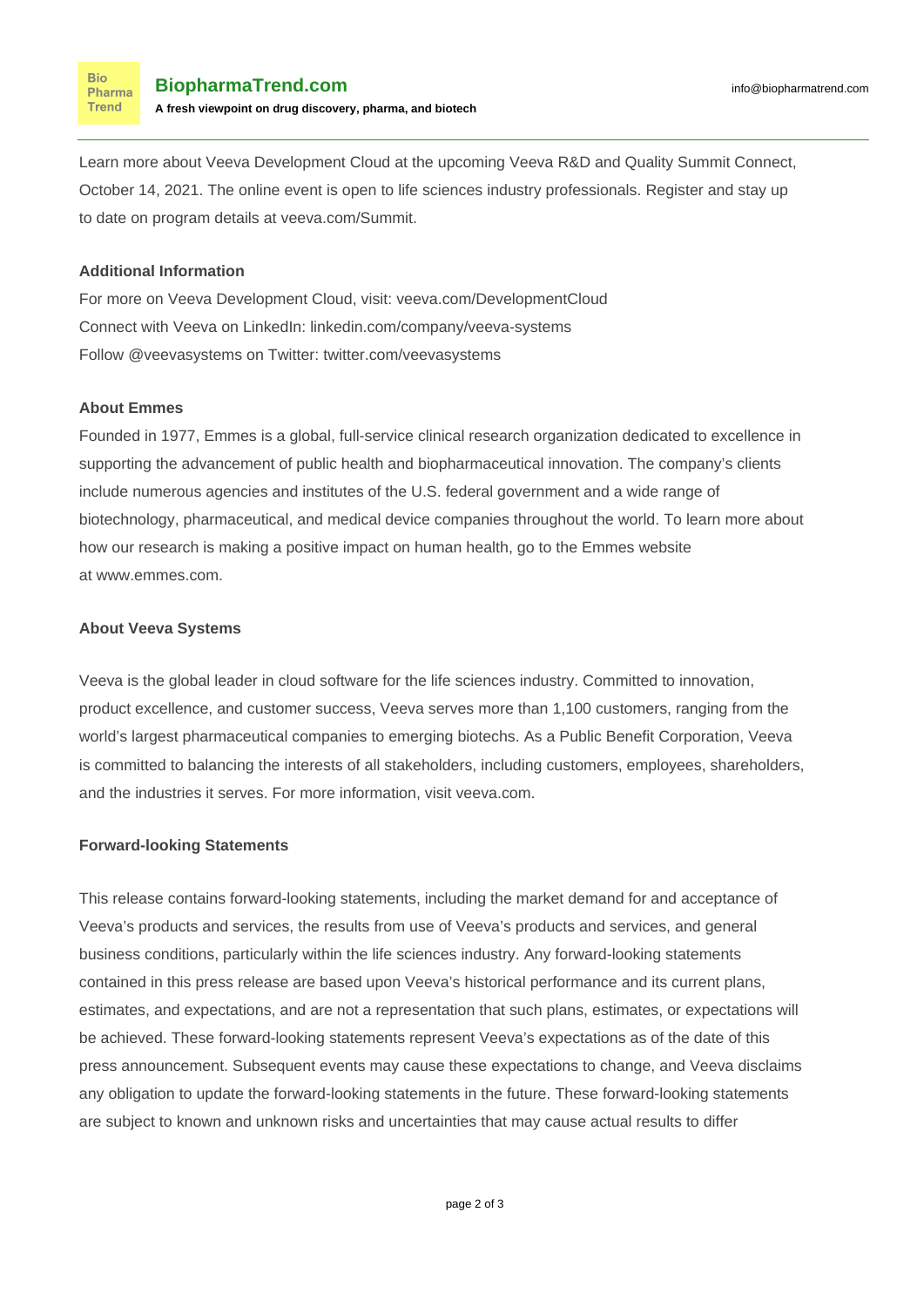**Bio** Pharma Trend

Learn more about Veeva Development Cloud at the upcoming [Veeva R&D and Quality Summit Connect,](https://www.veeva.com/events/rd-summit/) October 14, 2021. The online event is open to life sciences industry professionals. Register and stay up to date on program details at [veeva.com/Summit](https://www.veeva.com/events/rd-summit/).

#### **Additional Information**

For more on Veeva Development Cloud, visit: [veeva.com/DevelopmentCloud](https://www.veeva.com/products/development-cloud/) Connect with Veeva on LinkedIn: [linkedin.com/company/veeva-systems](http://www.linkedin.com/company/veeva-systems) Follow @veevasystems on Twitter: [twitter.com/veevasystems](https://twitter.com/veevasystems)

## **About Emmes**

Founded in 1977, Emmes is a global, full-service clinical research organization dedicated to excellence in supporting the advancement of public health and biopharmaceutical innovation. The company's clients include numerous agencies and institutes of the U.S. federal government and a wide range of biotechnology, pharmaceutical, and medical device companies throughout the world. To learn more about how our research is making a positive impact on human health, go to the Emmes website at [www.emmes.com](http://www.emmes.com/).

## **About Veeva Systems**

Veeva is the global leader in cloud software for the life sciences industry. Committed to innovation, product excellence, and customer success, Veeva serves more than 1,100 customers, ranging from the world's largest pharmaceutical companies to emerging biotechs. As a Public Benefit Corporation, Veeva is committed to balancing the interests of all stakeholders, including customers, employees, shareholders, and the industries it serves. For more information, visit [veeva.com](http://www.veeva.com/).

## **Forward-looking Statements**

This release contains forward-looking statements, including the market demand for and acceptance of Veeva's products and services, the results from use of Veeva's products and services, and general business conditions, particularly within the life sciences industry. Any forward-looking statements contained in this press release are based upon Veeva's historical performance and its current plans, estimates, and expectations, and are not a representation that such plans, estimates, or expectations will be achieved. These forward-looking statements represent Veeva's expectations as of the date of this press announcement. Subsequent events may cause these expectations to change, and Veeva disclaims any obligation to update the forward-looking statements in the future. These forward-looking statements are subject to known and unknown risks and uncertainties that may cause actual results to differ